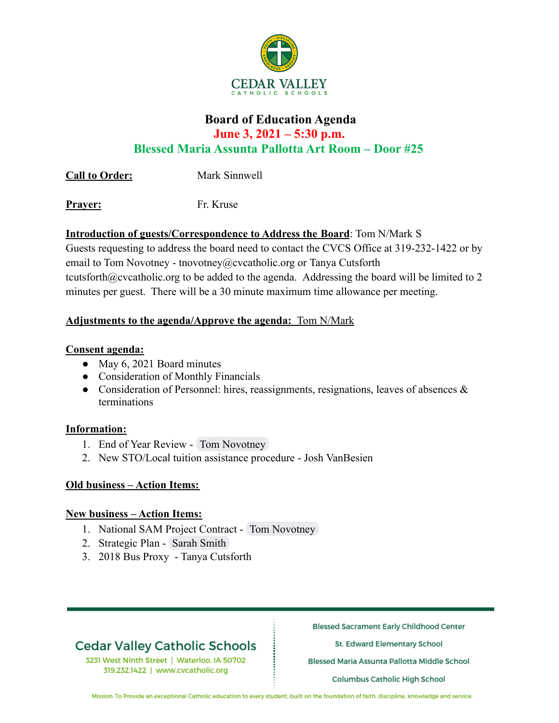

## **Board of Education Agenda June 3, 2021 – 5:30 p.m. Blessed Maria Assunta Pallotta Art Room – Door #25**

**Call to Order:** Mark Sinnwell

**Prayer:** Fr. Kruse

## **Introduction of guests/Correspondence to Address the Board**: Tom N/Mark S

Guests requesting to address the board need to contact the CVCS Office at 319-232-1422 or by email to Tom Novotney - tnovotney@cvcatholic.org or Tanya Cutsforth tcutsforth@cvcatholic.org to be added to the agenda. Addressing the board will be limited to 2 minutes per guest. There will be a 30 minute maximum time allowance per meeting.

## **Adjustments to the agenda/Approve the agenda:** Tom N/Mark

## **Consent agenda:**

- May 6, 2021 Board minutes
- Consideration of Monthly Financials
- Consideration of Personnel: hires, reassignments, resignations, leaves of absences  $\&$ terminations

## **Information:**

- 1. End of Year Review Tom Novotney
- 2. New STO/Local tuition assistance procedure Josh VanBesien

## **Old business – Action Items:**

## **New business – Action Items:**

- 1. National SAM Project Contract Tom Novotney
- 2. Strategic Plan Sarah Smith
- 3. 2018 Bus Proxy Tanya Cutsforth

# **Cedar Valley Catholic Schools**

3231 West Ninth Street | Waterloo, IA 50702 319.232.1422 | www.cvcatholic.org

**Blessed Sacrament Early Childhood Center** 

St. Edward Elementary School

Blessed Maria Assunta Pallotta Middle School

Columbus Catholic High School

Mission: To Provide an exceptional Catholic education to every student, built on the foundation of faith, discipline, knowledge and service.